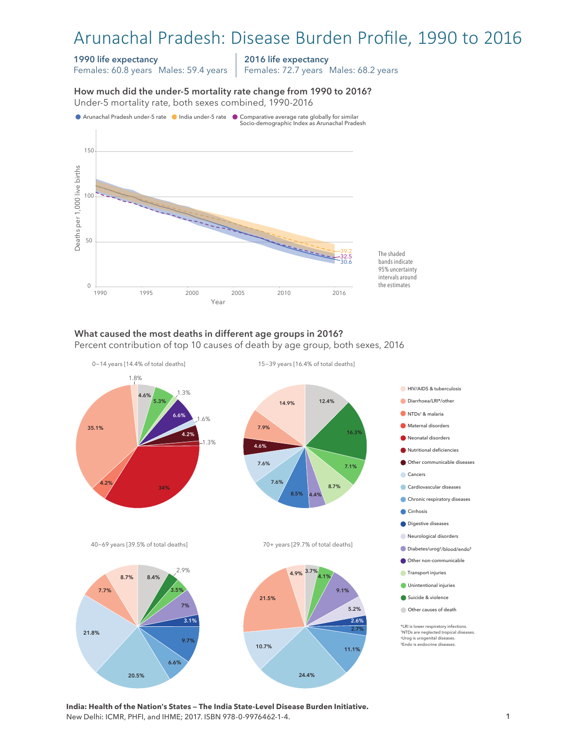# Arunachal Pradesh: Disease Burden Profile, 1990 to 2016

#### 1990 life expectancy

Females: 60.8 years Males: 59.4 years

2016 life expectancy

Females: 72.7 years Males: 68.2 years

How much did the under-5 mortality rate change from 1990 to 2016? How much did the under-5 mortality rate change from 1990 to 2016? Under-5 mortality rate, both sexes combined, 1990-2016 Under-5 mortality rate, both sexes combined, 1990-2016



#### What caused the most deaths in different age groups in 2016?

Percent contribution of top 10 causes of death by age group, both sexes, 2016



**India: Health of the Nation's States — The India State-Level Disease Burden Initiative.**  New Delhi: ICMR, PHFI, and IHME; 2017. ISBN 978-0-9976462-1-4.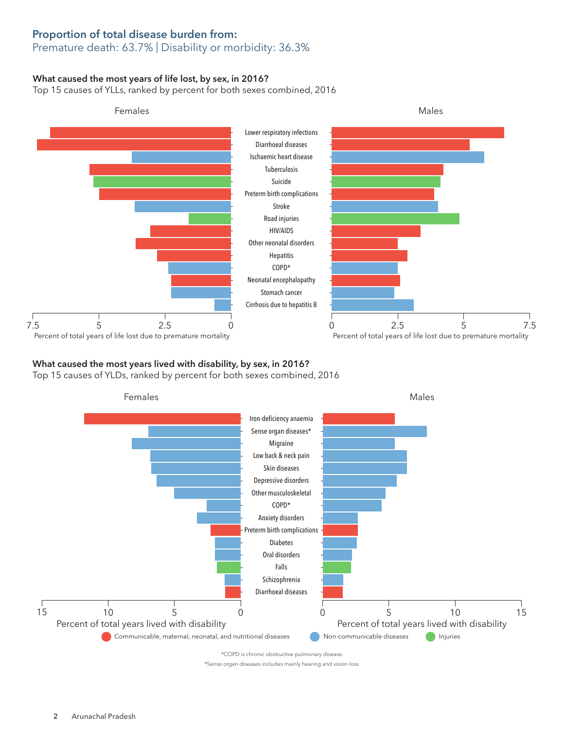# Proportion of total disease burden from:

## Premature death: 63.7% | Disability or morbidity: 36.3%

### What caused the most years of life lost, by sex, in 2016?

Top 15 causes of YLLs, ranked by percent for both sexes combined, 2016



## What caused the most years lived with disability, by sex, in 2016?

Top 15 causes of YLDs, ranked by percent for both sexes combined, 2016



\*Sense organ diseases includes mainly hearing and vision loss.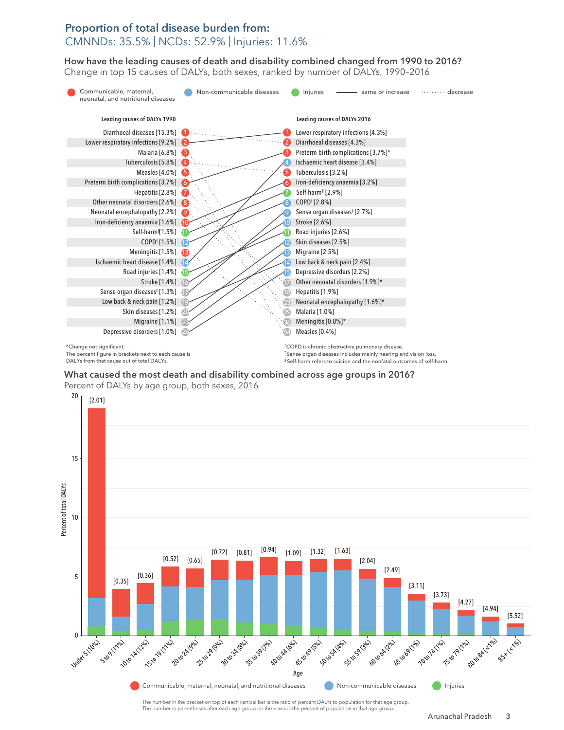## Proportion of total disease burden from: CMNNDs: 35.5% | NCDs: 52.9% | Injuries: 11.6%

How have the leading causes of death and disability combined changed from 1990 to 2016? How have the leading causes of death and disability combined changed from 1990 to 2016? Change in top 15 causes of DALYs, both sexes, ranked by number of DALYs, 1990–2016 Change top 15 causes of DALYs, both sexes, ranked by number of DALYs, 1990–2016



DALYs from that cause out of total DALYs.

§ Self-harm refers to suicide and the nonfatal outcomes of self-harm.

What caused the most death and disability combined across age groups in 2016? What caused the most death and disability combined across age groups in 2016? Percent of DALYs by age group, both sexes, 2016 Percent of DALYs by age group, both sexes, 2016



The number in the bracket on top of each vertical bar is the ratio of percent DALYs to population for that age group. The number in parentheses after each age group on the x-axis is the percent of population in that age group.